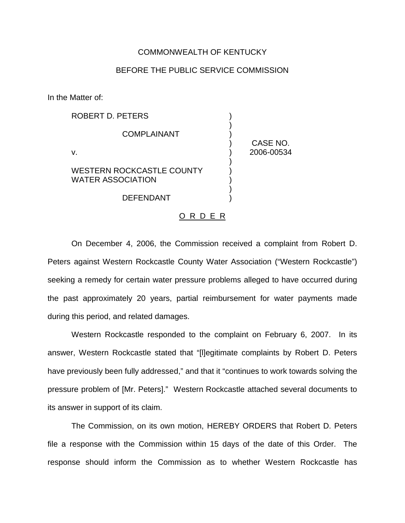## COMMONWEALTH OF KENTUCKY

## BEFORE THE PUBLIC SERVICE COMMISSION

In the Matter of:

| ROBERT D. PETERS                                             |            |
|--------------------------------------------------------------|------------|
| <b>COMPLAINANT</b>                                           | CASE NO.   |
| V.                                                           | 2006-00534 |
| <b>WESTERN ROCKCASTLE COUNTY</b><br><b>WATER ASSOCIATION</b> |            |
| <b>DEFENDANT</b>                                             |            |

## O R D E R

On December 4, 2006, the Commission received a complaint from Robert D. Peters against Western Rockcastle County Water Association ("Western Rockcastle") seeking a remedy for certain water pressure problems alleged to have occurred during the past approximately 20 years, partial reimbursement for water payments made during this period, and related damages.

Western Rockcastle responded to the complaint on February 6, 2007. In its answer, Western Rockcastle stated that "[l]egitimate complaints by Robert D. Peters have previously been fully addressed," and that it "continues to work towards solving the pressure problem of [Mr. Peters]." Western Rockcastle attached several documents to its answer in support of its claim.

The Commission, on its own motion, HEREBY ORDERS that Robert D. Peters file a response with the Commission within 15 days of the date of this Order. The response should inform the Commission as to whether Western Rockcastle has